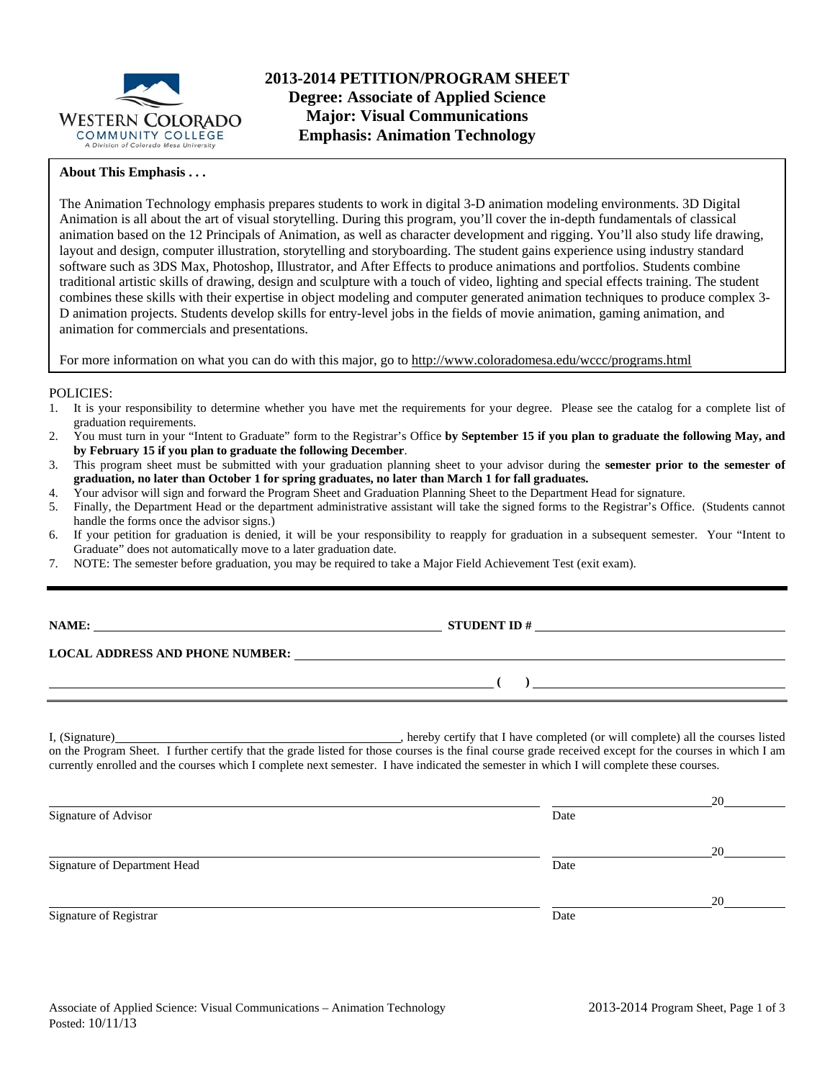

#### **About This Emphasis . . .**

The Animation Technology emphasis prepares students to work in digital 3-D animation modeling environments. 3D Digital Animation is all about the art of visual storytelling. During this program, you'll cover the in-depth fundamentals of classical animation based on the 12 Principals of Animation, as well as character development and rigging. You'll also study life drawing, layout and design, computer illustration, storytelling and storyboarding. The student gains experience using industry standard software such as 3DS Max, Photoshop, Illustrator, and After Effects to produce animations and portfolios. Students combine traditional artistic skills of drawing, design and sculpture with a touch of video, lighting and special effects training. The student combines these skills with their expertise in object modeling and computer generated animation techniques to produce complex 3- D animation projects. Students develop skills for entry-level jobs in the fields of movie animation, gaming animation, and animation for commercials and presentations.

For more information on what you can do with this major, go to http://www.coloradomesa.edu/wccc/programs.html

#### POLICIES:

- 1. It is your responsibility to determine whether you have met the requirements for your degree. Please see the catalog for a complete list of graduation requirements.
- 2. You must turn in your "Intent to Graduate" form to the Registrar's Office **by September 15 if you plan to graduate the following May, and by February 15 if you plan to graduate the following December**.
- 3. This program sheet must be submitted with your graduation planning sheet to your advisor during the **semester prior to the semester of graduation, no later than October 1 for spring graduates, no later than March 1 for fall graduates.**
- 4. Your advisor will sign and forward the Program Sheet and Graduation Planning Sheet to the Department Head for signature.
- 5. Finally, the Department Head or the department administrative assistant will take the signed forms to the Registrar's Office. (Students cannot handle the forms once the advisor signs.)
- 6. If your petition for graduation is denied, it will be your responsibility to reapply for graduation in a subsequent semester. Your "Intent to Graduate" does not automatically move to a later graduation date.
- 7. NOTE: The semester before graduation, you may be required to take a Major Field Achievement Test (exit exam).

### **NAMES IN STUDENT ID #**

 **( )** 

**LOCAL ADDRESS AND PHONE NUMBER:**

I, (Signature) , hereby certify that I have completed (or will complete) all the courses listed on the Program Sheet. I further certify that the grade listed for those courses is the final course grade received except for the courses in which I am currently enrolled and the courses which I complete next semester. I have indicated the semester in which I will complete these courses.

|                              |      | 20 |
|------------------------------|------|----|
| Signature of Advisor         | Date |    |
|                              |      | 20 |
| Signature of Department Head | Date |    |
|                              |      | 20 |
| Signature of Registrar       | Date |    |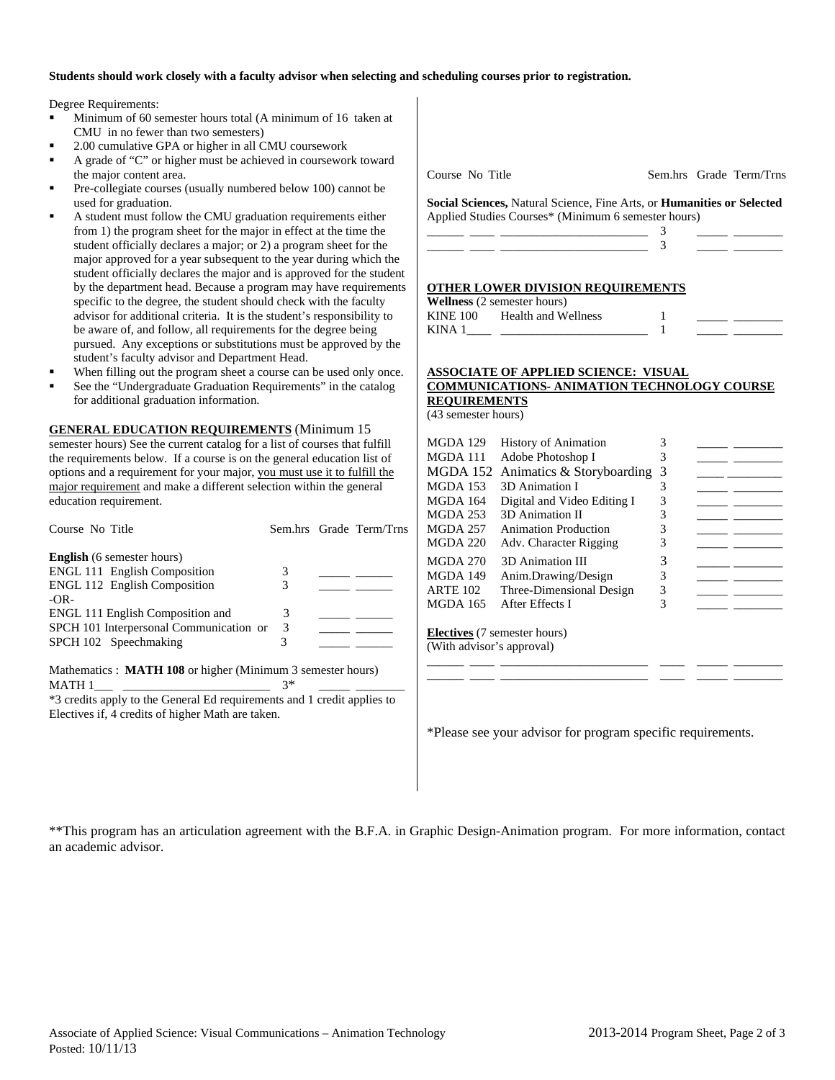#### **Students should work closely with a faculty advisor when selecting and scheduling courses prior to registration.**

Degree Requirements:

- Minimum of 60 semester hours total (A minimum of 16 taken at CMU in no fewer than two semesters)
- 2.00 cumulative GPA or higher in all CMU coursework
- A grade of "C" or higher must be achieved in coursework toward the major content area.
- Pre-collegiate courses (usually numbered below 100) cannot be used for graduation.
- A student must follow the CMU graduation requirements either from 1) the program sheet for the major in effect at the time the student officially declares a major; or 2) a program sheet for the major approved for a year subsequent to the year during which the student officially declares the major and is approved for the student by the department head. Because a program may have requirements specific to the degree, the student should check with the faculty advisor for additional criteria. It is the student's responsibility to be aware of, and follow, all requirements for the degree being pursued. Any exceptions or substitutions must be approved by the student's faculty advisor and Department Head.
- When filling out the program sheet a course can be used only once.
- See the "Undergraduate Graduation Requirements" in the catalog for additional graduation information.

**GENERAL EDUCATION REQUIREMENTS** (Minimum 15 semester hours) See the current catalog for a list of courses that fulfill the requirements below. If a course is on the general education list of options and a requirement for your major, you must use it to fulfill the major requirement and make a different selection within the general education requirement.

| Course No Title                                                                                                 |      | Sem.hrs Grade Term/Trns |
|-----------------------------------------------------------------------------------------------------------------|------|-------------------------|
| <b>English</b> (6 semester hours)                                                                               |      |                         |
| <b>ENGL 111 English Composition</b>                                                                             | 3    |                         |
| <b>ENGL 112 English Composition</b>                                                                             | 3    |                         |
| $-OR-$                                                                                                          |      |                         |
| ENGL 111 English Composition and                                                                                | 3    |                         |
| SPCH 101 Interpersonal Communication or                                                                         | 3    |                         |
| SPCH 102 Speechmaking                                                                                           | 3    |                         |
| Mathematics : MATH 108 or higher (Minimum 3 semester hours)                                                     |      |                         |
| MATH 1                                                                                                          | $3*$ |                         |
| the contract of the contract of the contract of the contract of the contract of the contract of the contract of |      |                         |

\*3 credits apply to the General Ed requirements and 1 credit applies to Electives if, 4 credits of higher Math are taken.

Course No Title Sem.hrs Grade Term/Trns

**Social Sciences,** Natural Science, Fine Arts, or **Humanities or Selected** Applied Studies Courses\* (Minimum 6 semester hours)

#### **OTHER LOWER DIVISION REQUIREMENTS**

**Wellness** (2 semester hours) KINE 100 Health and Wellness KINA  $1$   $1$ 

### **ASSOCIATE OF APPLIED SCIENCE: VISUAL COMMUNICATIONS- ANIMATION TECHNOLOGY COURSE REQUIREMENTS**

(43 semester hours)

| MGDA 129                            | <b>History of Animation</b> | 3 |  |  |  |
|-------------------------------------|-----------------------------|---|--|--|--|
| MGDA 111                            | Adobe Photoshop I           | 3 |  |  |  |
| MGDA 152                            | Animatics & Storyboarding   | 3 |  |  |  |
| <b>MGDA 153</b>                     | 3D Animation I              | 3 |  |  |  |
| <b>MGDA 164</b>                     | Digital and Video Editing I | 3 |  |  |  |
| <b>MGDA 253</b>                     | 3D Animation II             | 3 |  |  |  |
| <b>MGDA 257</b>                     | <b>Animation Production</b> | 3 |  |  |  |
| <b>MGDA 220</b>                     | Adv. Character Rigging      | 3 |  |  |  |
| <b>MGDA 270</b>                     | 3D Animation III            | 3 |  |  |  |
| <b>MGDA 149</b>                     | Anim.Drawing/Design         | 3 |  |  |  |
| <b>ARTE 102</b>                     | Three-Dimensional Design    | 3 |  |  |  |
| <b>MGDA 165</b>                     | After Effects I             | 3 |  |  |  |
|                                     |                             |   |  |  |  |
| <b>Electives</b> (7 semester hours) |                             |   |  |  |  |
| (With advisor's approval)           |                             |   |  |  |  |

\_\_\_\_\_\_ \_\_\_\_ \_\_\_\_\_\_\_\_\_\_\_\_\_\_\_\_\_\_\_\_\_\_\_\_ \_\_\_\_ \_\_\_\_\_ \_\_\_\_\_\_\_\_ \_\_\_\_\_\_ \_\_\_\_ \_\_\_\_\_\_\_\_\_\_\_\_\_\_\_\_\_\_\_\_\_\_\_\_ \_\_\_\_ \_\_\_\_\_ \_\_\_\_\_\_\_\_

\*Please see your advisor for program specific requirements.

\*\*This program has an articulation agreement with the B.F.A. in Graphic Design-Animation program. For more information, contact an academic advisor.